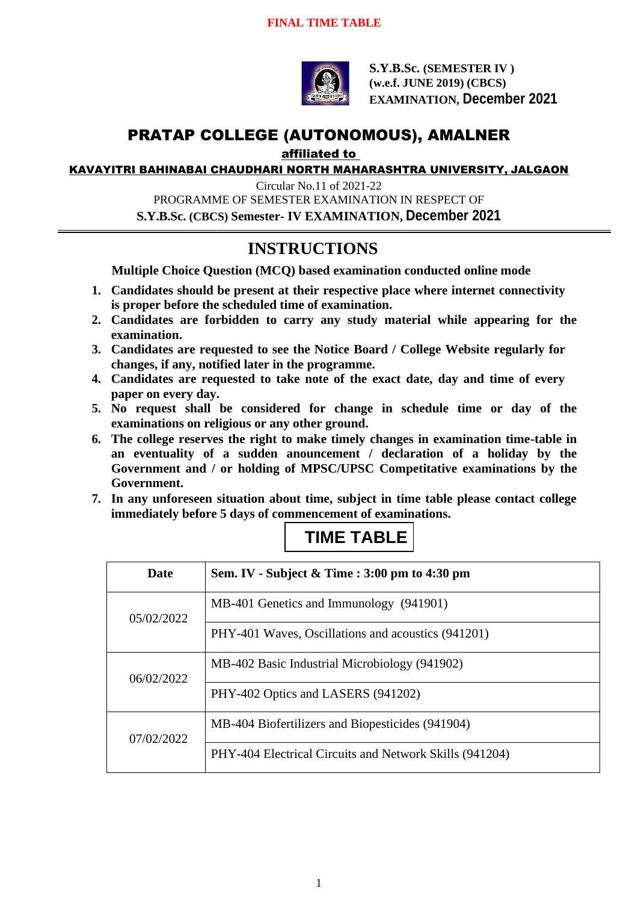

**S.Y.B.Sc. (SEMESTER IV ) (w.e.f. JUNE 2019) (CBCS) EXAMINATION, December 2021**

# PRATAP COLLEGE (AUTONOMOUS), AMALNER

affiliated to

KAVAYITRI BAHINABAI CHAUDHARI NORTH MAHARASHTRA UNIVERSITY, JALGAON

Circular No.11 of 2021-22 PROGRAMME OF SEMESTER EXAMINATION IN RESPECT OF **S.Y.B.Sc. (CBCS) Semester- IV EXAMINATION, December 2021**

### **INSTRUCTIONS**

**Multiple Choice Question (MCQ) based examination conducted online mode**

- **1. Candidates should be present at their respective place where internet connectivity is proper before the scheduled time of examination.**
- **2. Candidates are forbidden to carry any study material while appearing for the examination.**
- **3. Candidates are requested to see the Notice Board / College Website regularly for changes, if any, notified later in the programme.**
- **4. Candidates are requested to take note of the exact date, day and time of every paper on every day.**
- **5. No request shall be considered for change in schedule time or day of the examinations on religious or any other ground.**
- **6. The college reserves the right to make timely changes in examination time-table in an eventuality of a sudden anouncement / declaration of a holiday by the Government and / or holding of MPSC/UPSC Competitative examinations by the Government.**
- **7. In any unforeseen situation about time, subject in time table please contact college immediately before 5 days of commencement of examinations.**

## **TIME TABLE**

| <b>Date</b> | Sem. IV - Subject & Time : 3:00 pm to 4:30 pm           |
|-------------|---------------------------------------------------------|
| 05/02/2022  | MB-401 Genetics and Immunology (941901)                 |
|             | PHY-401 Waves, Oscillations and acoustics (941201)      |
| 06/02/2022  | MB-402 Basic Industrial Microbiology (941902)           |
|             | PHY-402 Optics and LASERS (941202)                      |
| 07/02/2022  | MB-404 Biofertilizers and Biopesticides (941904)        |
|             | PHY-404 Electrical Circuits and Network Skills (941204) |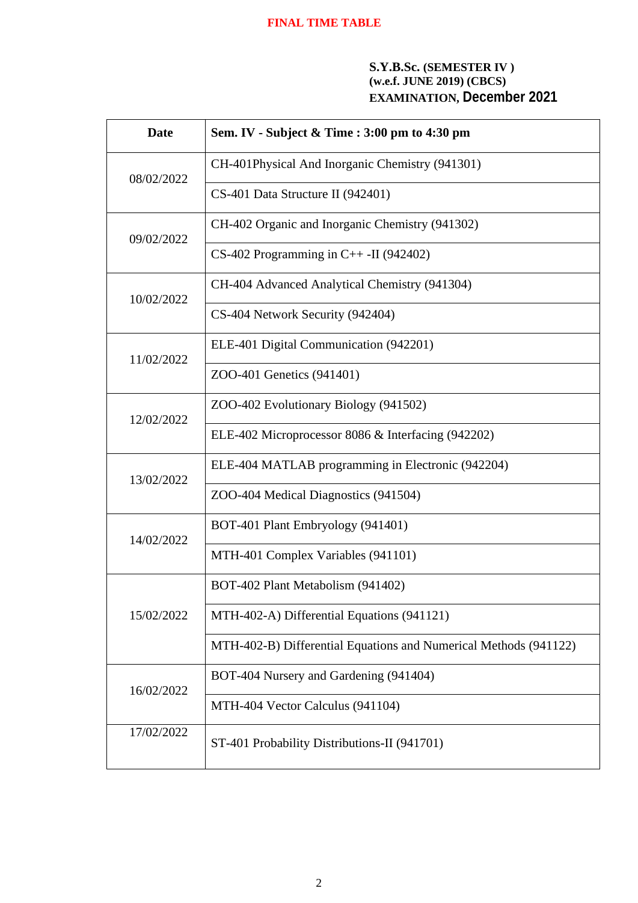#### **S.Y.B.Sc. (SEMESTER IV ) (w.e.f. JUNE 2019) (CBCS) EXAMINATION, December 2021**

| <b>Date</b> | Sem. IV - Subject & Time : 3:00 pm to 4:30 pm                    |
|-------------|------------------------------------------------------------------|
| 08/02/2022  | CH-401Physical And Inorganic Chemistry (941301)                  |
|             | CS-401 Data Structure II (942401)                                |
| 09/02/2022  | CH-402 Organic and Inorganic Chemistry (941302)                  |
|             | $CS-402$ Programming in $C++$ -II (942402)                       |
| 10/02/2022  | CH-404 Advanced Analytical Chemistry (941304)                    |
|             | CS-404 Network Security (942404)                                 |
| 11/02/2022  | ELE-401 Digital Communication (942201)                           |
|             | ZOO-401 Genetics (941401)                                        |
| 12/02/2022  | ZOO-402 Evolutionary Biology (941502)                            |
|             | ELE-402 Microprocessor 8086 & Interfacing (942202)               |
| 13/02/2022  | ELE-404 MATLAB programming in Electronic (942204)                |
|             | ZOO-404 Medical Diagnostics (941504)                             |
| 14/02/2022  | BOT-401 Plant Embryology (941401)                                |
|             | MTH-401 Complex Variables (941101)                               |
| 15/02/2022  | BOT-402 Plant Metabolism (941402)                                |
|             | MTH-402-A) Differential Equations (941121)                       |
|             | MTH-402-B) Differential Equations and Numerical Methods (941122) |
| 16/02/2022  | BOT-404 Nursery and Gardening (941404)                           |
|             | MTH-404 Vector Calculus (941104)                                 |
| 17/02/2022  | ST-401 Probability Distributions-II (941701)                     |